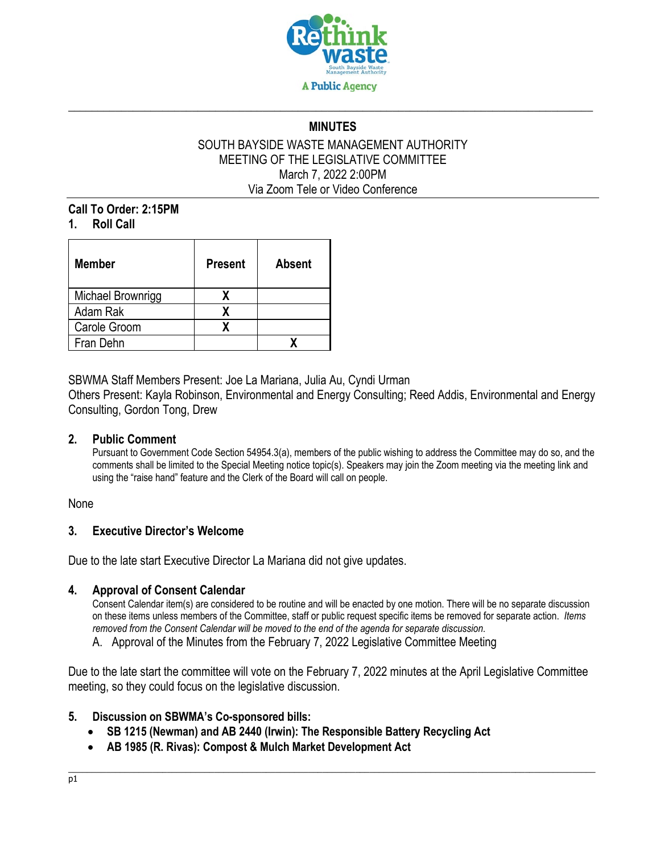

# **\_\_\_\_\_\_\_\_\_\_\_\_\_\_\_\_\_\_\_\_\_\_\_\_\_\_\_\_\_\_\_\_\_\_\_\_\_\_\_\_\_\_\_\_\_\_\_\_\_\_\_\_\_\_\_\_\_\_\_\_\_\_\_\_\_\_\_\_\_\_\_\_\_\_\_\_\_\_\_\_\_\_\_\_\_\_\_\_\_ MINUTES**

#### SOUTH BAYSIDE WASTE MANAGEMENT AUTHORITY MEETING OF THE LEGISLATIVE COMMITTEE March 7, 2022 2:00PM Via Zoom Tele or Video Conference

#### **Call To Order: 2:15PM 1. Roll Call**

| <b>Member</b>     | <b>Present</b> | <b>Absent</b> |
|-------------------|----------------|---------------|
| Michael Brownrigg | x              |               |
| Adam Rak          | x              |               |
| Carole Groom      |                |               |
| Fran Dehn         |                |               |

SBWMA Staff Members Present: Joe La Mariana, Julia Au, Cyndi Urman

Others Present: Kayla Robinson, Environmental and Energy Consulting; Reed Addis, Environmental and Energy Consulting, Gordon Tong, Drew

#### **2. Public Comment**

Pursuant to Government Code Section 54954.3(a), members of the public wishing to address the Committee may do so, and the comments shall be limited to the Special Meeting notice topic(s). Speakers may join the Zoom meeting via the meeting link and using the "raise hand" feature and the Clerk of the Board will call on people.

None

### **3. Executive Director's Welcome**

Due to the late start Executive Director La Mariana did not give updates.

#### **4. Approval of Consent Calendar**

Consent Calendar item(s) are considered to be routine and will be enacted by one motion. There will be no separate discussion on these items unless members of the Committee, staff or public request specific items be removed for separate action. *Items removed from the Consent Calendar will be moved to the end of the agenda for separate discussion*.

A. Approval of the Minutes from the February 7, 2022 Legislative Committee Meeting

Due to the late start the committee will vote on the February 7, 2022 minutes at the April Legislative Committee meeting, so they could focus on the legislative discussion.

#### **5. Discussion on SBWMA's Co-sponsored bills:**

- **SB 1215 (Newman) and AB 2440 (Irwin): The Responsible Battery Recycling Act**
- **AB 1985 (R. Rivas): Compost & Mulch Market Development Act**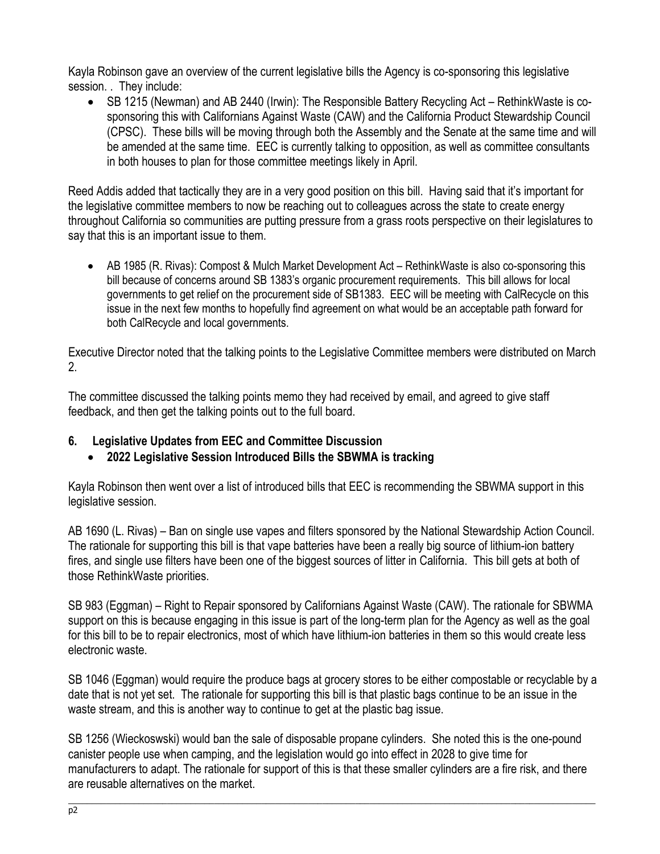Kayla Robinson gave an overview of the current legislative bills the Agency is co-sponsoring this legislative session. . They include:

• SB 1215 (Newman) and AB 2440 (Irwin): The Responsible Battery Recycling Act – RethinkWaste is cosponsoring this with Californians Against Waste (CAW) and the California Product Stewardship Council (CPSC). These bills will be moving through both the Assembly and the Senate at the same time and will be amended at the same time. EEC is currently talking to opposition, as well as committee consultants in both houses to plan for those committee meetings likely in April.

Reed Addis added that tactically they are in a very good position on this bill. Having said that it's important for the legislative committee members to now be reaching out to colleagues across the state to create energy throughout California so communities are putting pressure from a grass roots perspective on their legislatures to say that this is an important issue to them.

• AB 1985 (R. Rivas): Compost & Mulch Market Development Act – RethinkWaste is also co-sponsoring this bill because of concerns around SB 1383's organic procurement requirements. This bill allows for local governments to get relief on the procurement side of SB1383. EEC will be meeting with CalRecycle on this issue in the next few months to hopefully find agreement on what would be an acceptable path forward for both CalRecycle and local governments.

Executive Director noted that the talking points to the Legislative Committee members were distributed on March 2.

The committee discussed the talking points memo they had received by email, and agreed to give staff feedback, and then get the talking points out to the full board.

## **6. Legislative Updates from EEC and Committee Discussion**

## • **2022 Legislative Session Introduced Bills the SBWMA is tracking**

Kayla Robinson then went over a list of introduced bills that EEC is recommending the SBWMA support in this legislative session.

AB 1690 (L. Rivas) – Ban on single use vapes and filters sponsored by the National Stewardship Action Council. The rationale for supporting this bill is that vape batteries have been a really big source of lithium-ion battery fires, and single use filters have been one of the biggest sources of litter in California. This bill gets at both of those RethinkWaste priorities.

SB 983 (Eggman) – Right to Repair sponsored by Californians Against Waste (CAW). The rationale for SBWMA support on this is because engaging in this issue is part of the long-term plan for the Agency as well as the goal for this bill to be to repair electronics, most of which have lithium-ion batteries in them so this would create less electronic waste.

SB 1046 (Eggman) would require the produce bags at grocery stores to be either compostable or recyclable by a date that is not yet set. The rationale for supporting this bill is that plastic bags continue to be an issue in the waste stream, and this is another way to continue to get at the plastic bag issue.

SB 1256 (Wieckoswski) would ban the sale of disposable propane cylinders. She noted this is the one-pound canister people use when camping, and the legislation would go into effect in 2028 to give time for manufacturers to adapt. The rationale for support of this is that these smaller cylinders are a fire risk, and there are reusable alternatives on the market.